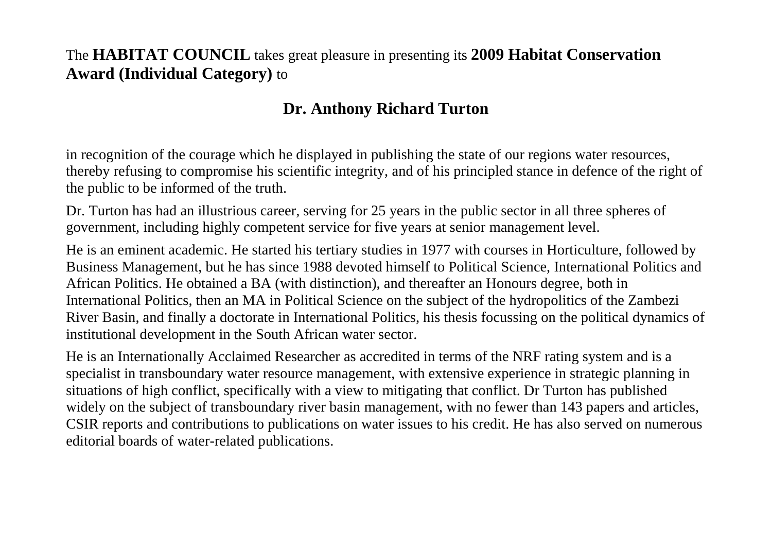## The **HABITAT COUNCIL** takes great pleasure in presenting its **2009 Habitat Conservation Award (Individual Category)** to

## **Dr. Anthony Richard Turton**

in recognition of the courage which he displayed in publishing the state of our regions water resources, thereby refusing to compromise his scientific integrity, and of his principled stance in defence of the right of the public to be informed of the truth.

Dr. Turton has had an illustrious career, serving for 25 years in the public sector in all three spheres of government, including highly competent service for five years at senior management level.

He is an eminent academic. He started his tertiary studies in 1977 with courses in Horticulture, followed by Business Management, but he has since 1988 devoted himself to Political Science, International Politics and African Politics. He obtained a BA (with distinction), and thereafter an Honours degree, both in International Politics, then an MA in Political Science on the subject of the hydropolitics of the Zambezi River Basin, and finally a doctorate in International Politics, his thesis focussing on the political dynamics of institutional development in the South African water sector.

He is an Internationally Acclaimed Researcher as accredited in terms of the NRF rating system and is a specialist in transboundary water resource management, with extensive experience in strategic planning in situations of high conflict, specifically with a view to mitigating that conflict. Dr Turton has published widely on the subject of transboundary river basin management, with no fewer than 143 papers and articles, CSIR reports and contributions to publications on water issues to his credit. He has also served on numerous editorial boards of water-related publications.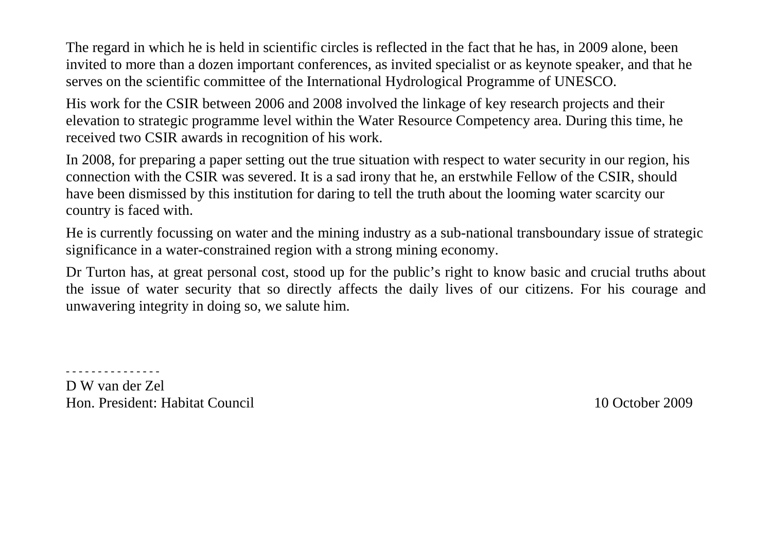The regard in which he is held in scientific circles is reflected in the fact that he has, in 2009 alone, been invited to more than a dozen important conferences, as invited specialist or as keynote speaker, and that he serves on the scientific committee of the International Hydrological Programme of UNESCO.

His work for the CSIR between 2006 and 2008 involved the linkage of key research projects and their elevation to strategic programme level within the Water Resource Competency area. During this time, hereceived two CSIR awards in recognition of his work.

In 2008, for preparing a paper setting out the true situation with respect to water security in our region, his connection with the CSIR was severed. It is a sad irony that he, an erstwhile Fellow of the CSIR, should have been dismissed by this institution for daring to tell the truth about the looming water scarcity our country is faced with.

He is currently focussing on water and the mining industry as a sub-national transboundary issue of strategic significance in a water-constrained region with a strong mining economy.

Dr Turton has, at great personal cost, stood up for the public's right to know basic and crucial truths about the issue of water security that so directly affects the daily lives of our citizens. For his courage and unwavering integrity in doing so, we salute him.

D W van der Zel Hon. President: Habitat Council 10 October 2009

- - - - - - - - - - - - - - -